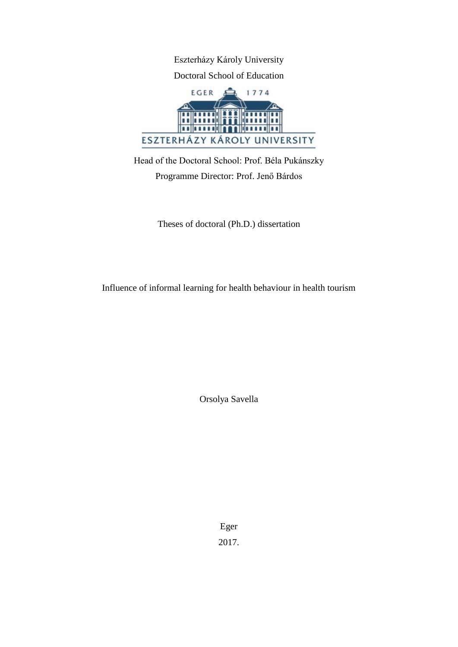Eszterházy Károly University Doctoral School of Education



Head of the Doctoral School: Prof. Béla Pukánszky Programme Director: Prof. Jenő Bárdos

Theses of doctoral (Ph.D.) dissertation

Influence of informal learning for health behaviour in health tourism

Orsolya Savella

Eger 2017.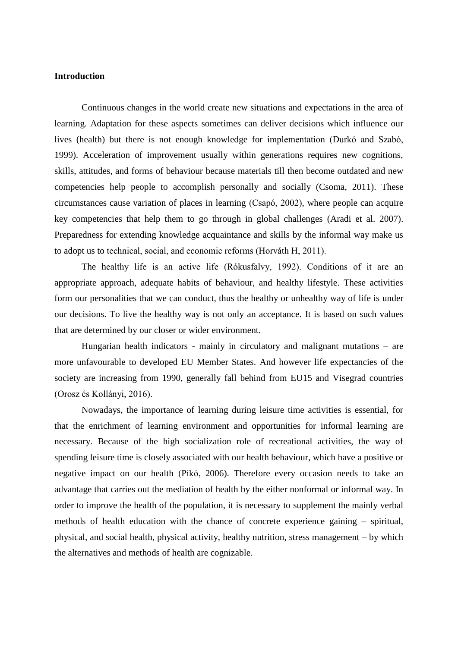### **Introduction**

Continuous changes in the world create new situations and expectations in the area of learning. Adaptation for these aspects sometimes can deliver decisions which influence our lives (health) but there is not enough knowledge for implementation (Durkó and Szabó, 1999). Acceleration of improvement usually within generations requires new cognitions, skills, attitudes, and forms of behaviour because materials till then become outdated and new competencies help people to accomplish personally and socially (Csoma, 2011). These circumstances cause variation of places in learning (Csapó, 2002), where people can acquire key competencies that help them to go through in global challenges (Aradi et al. 2007). Preparedness for extending knowledge acquaintance and skills by the informal way make us to adopt us to technical, social, and economic reforms (Horváth H, 2011).

The healthy life is an active life (Rókusfalvy, 1992). Conditions of it are an appropriate approach, adequate habits of behaviour, and healthy lifestyle. These activities form our personalities that we can conduct, thus the healthy or unhealthy way of life is under our decisions. To live the healthy way is not only an acceptance. It is based on such values that are determined by our closer or wider environment.

Hungarian health indicators - mainly in circulatory and malignant mutations – are more unfavourable to developed EU Member States. And however life expectancies of the society are increasing from 1990, generally fall behind from EU15 and Visegrad countries (Orosz és Kollányi, 2016).

Nowadays, the importance of learning during leisure time activities is essential, for that the enrichment of learning environment and opportunities for informal learning are necessary. Because of the high socialization role of recreational activities, the way of spending leisure time is closely associated with our health behaviour, which have a positive or negative impact on our health (Pikó, 2006). Therefore every occasion needs to take an advantage that carries out the mediation of health by the either nonformal or informal way. In order to improve the health of the population, it is necessary to supplement the mainly verbal methods of health education with the chance of concrete experience gaining – spiritual, physical, and social health, physical activity, healthy nutrition, stress management – by which the alternatives and methods of health are cognizable.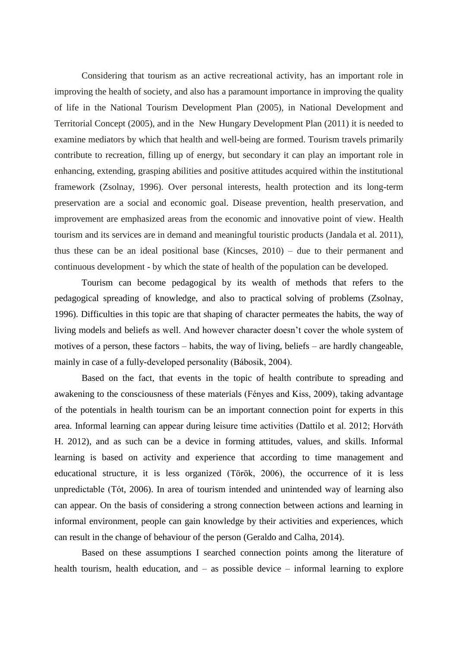Considering that tourism as an active recreational activity, has an important role in improving the health of society, and also has a paramount importance in improving the quality of life in the National Tourism Development Plan (2005), in National Development and Territorial Concept (2005), and in the New Hungary Development Plan (2011) it is needed to examine mediators by which that health and well-being are formed. Tourism travels primarily contribute to recreation, filling up of energy, but secondary it can play an important role in enhancing, extending, grasping abilities and positive attitudes acquired within the institutional framework (Zsolnay, 1996). Over personal interests, health protection and its long-term preservation are a social and economic goal. Disease prevention, health preservation, and improvement are emphasized areas from the economic and innovative point of view. Health tourism and its services are in demand and meaningful touristic products (Jandala et al. 2011), thus these can be an ideal positional base (Kincses, 2010) – due to their permanent and continuous development - by which the state of health of the population can be developed.

Tourism can become pedagogical by its wealth of methods that refers to the pedagogical spreading of knowledge, and also to practical solving of problems (Zsolnay, 1996). Difficulties in this topic are that shaping of character permeates the habits, the way of living models and beliefs as well. And however character doesn't cover the whole system of motives of a person, these factors – habits, the way of living, beliefs – are hardly changeable, mainly in case of a fully-developed personality (Bábosik, 2004).

Based on the fact, that events in the topic of health contribute to spreading and awakening to the consciousness of these materials (Fényes and Kiss, 2009), taking advantage of the potentials in health tourism can be an important connection point for experts in this area. Informal learning can appear during leisure time activities (Dattilo et al. 2012; Horváth H. 2012), and as such can be a device in forming attitudes, values, and skills. Informal learning is based on activity and experience that according to time management and educational structure, it is less organized (Török, 2006), the occurrence of it is less unpredictable (Tót, 2006). In area of tourism intended and unintended way of learning also can appear. On the basis of considering a strong connection between actions and learning in informal environment, people can gain knowledge by their activities and experiences, which can result in the change of behaviour of the person (Geraldo and Calha, 2014).

Based on these assumptions I searched connection points among the literature of health tourism, health education, and – as possible device – informal learning to explore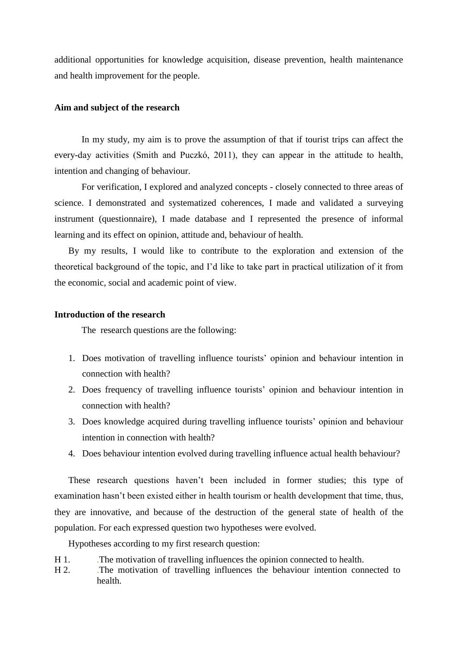additional opportunities for knowledge acquisition, disease prevention, health maintenance and health improvement for the people.

### **Aim and subject of the research**

In my study, my aim is to prove the assumption of that if tourist trips can affect the every-day activities (Smith and Puczkó, 2011), they can appear in the attitude to health, intention and changing of behaviour.

For verification, I explored and analyzed concepts - closely connected to three areas of science. I demonstrated and systematized coherences, I made and validated a surveying instrument (questionnaire), I made database and I represented the presence of informal learning and its effect on opinion, attitude and, behaviour of health.

By my results, I would like to contribute to the exploration and extension of the theoretical background of the topic, and I'd like to take part in practical utilization of it from the economic, social and academic point of view.

#### **Introduction of the research**

The research questions are the following:

- 1. Does motivation of travelling influence tourists' opinion and behaviour intention in connection with health?
- 2. Does frequency of travelling influence tourists' opinion and behaviour intention in connection with health?
- 3. Does knowledge acquired during travelling influence tourists' opinion and behaviour intention in connection with health?
- 4. Does behaviour intention evolved during travelling influence actual health behaviour?

These research questions haven't been included in former studies; this type of examination hasn't been existed either in health tourism or health development that time, thus, they are innovative, and because of the destruction of the general state of health of the population. For each expressed question two hypotheses were evolved.

Hypotheses according to my first research question:

- H 1. .The motivation of travelling influences the opinion connected to health.
- H 2. .The motivation of travelling influences the behaviour intention connected to health.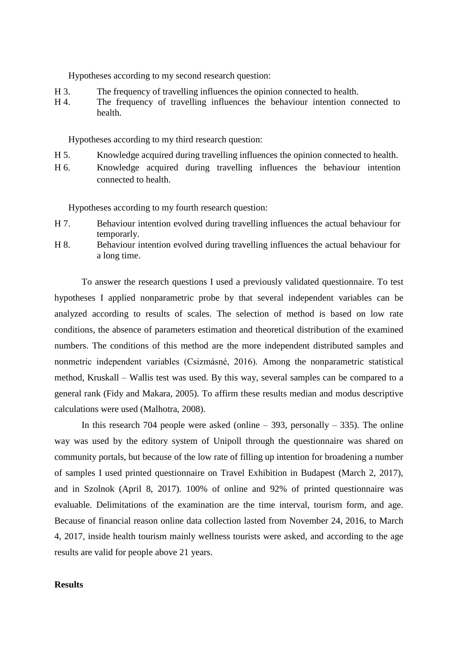Hypotheses according to my second research question:

- H 3. The frequency of travelling influences the opinion connected to health.
- H 4. The frequency of travelling influences the behaviour intention connected to health.

Hypotheses according to my third research question:

- H 5. Knowledge acquired during travelling influences the opinion connected to health.
- H 6. Knowledge acquired during travelling influences the behaviour intention connected to health.

Hypotheses according to my fourth research question:

- H 7. Behaviour intention evolved during travelling influences the actual behaviour for temporarly.
- H 8. Behaviour intention evolved during travelling influences the actual behaviour for a long time.

To answer the research questions I used a previously validated questionnaire. To test hypotheses I applied nonparametric probe by that several independent variables can be analyzed according to results of scales. The selection of method is based on low rate conditions, the absence of parameters estimation and theoretical distribution of the examined numbers. The conditions of this method are the more independent distributed samples and nonmetric independent variables (Csizmásné, 2016). Among the nonparametric statistical method, Kruskall – Wallis test was used. By this way, several samples can be compared to a general rank (Fidy and Makara, 2005). To affirm these results median and modus descriptive calculations were used (Malhotra, 2008).

In this research 704 people were asked (online  $-393$ , personally  $-335$ ). The online way was used by the editory system of Unipoll through the questionnaire was shared on community portals, but because of the low rate of filling up intention for broadening a number of samples I used printed questionnaire on Travel Exhibition in Budapest (March 2, 2017), and in Szolnok (April 8, 2017). 100% of online and 92% of printed questionnaire was evaluable. Delimitations of the examination are the time interval, tourism form, and age. Because of financial reason online data collection lasted from November 24, 2016, to March 4, 2017, inside health tourism mainly wellness tourists were asked, and according to the age results are valid for people above 21 years.

### **Results**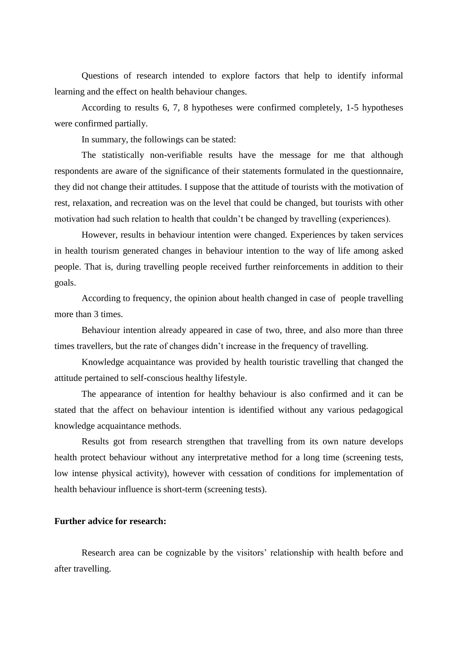Questions of research intended to explore factors that help to identify informal learning and the effect on health behaviour changes.

According to results 6, 7, 8 hypotheses were confirmed completely, 1-5 hypotheses were confirmed partially.

In summary, the followings can be stated:

The statistically non-verifiable results have the message for me that although respondents are aware of the significance of their statements formulated in the questionnaire, they did not change their attitudes. I suppose that the attitude of tourists with the motivation of rest, relaxation, and recreation was on the level that could be changed, but tourists with other motivation had such relation to health that couldn't be changed by travelling (experiences).

However, results in behaviour intention were changed. Experiences by taken services in health tourism generated changes in behaviour intention to the way of life among asked people. That is, during travelling people received further reinforcements in addition to their goals.

According to frequency, the opinion about health changed in case of people travelling more than 3 times.

Behaviour intention already appeared in case of two, three, and also more than three times travellers, but the rate of changes didn't increase in the frequency of travelling.

Knowledge acquaintance was provided by health touristic travelling that changed the attitude pertained to self-conscious healthy lifestyle.

The appearance of intention for healthy behaviour is also confirmed and it can be stated that the affect on behaviour intention is identified without any various pedagogical knowledge acquaintance methods.

Results got from research strengthen that travelling from its own nature develops health protect behaviour without any interpretative method for a long time (screening tests, low intense physical activity), however with cessation of conditions for implementation of health behaviour influence is short-term (screening tests).

## **Further advice for research:**

Research area can be cognizable by the visitors' relationship with health before and after travelling.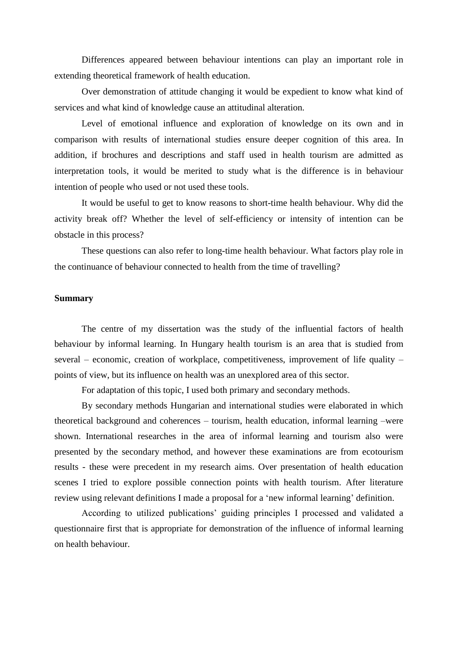Differences appeared between behaviour intentions can play an important role in extending theoretical framework of health education.

Over demonstration of attitude changing it would be expedient to know what kind of services and what kind of knowledge cause an attitudinal alteration.

Level of emotional influence and exploration of knowledge on its own and in comparison with results of international studies ensure deeper cognition of this area. In addition, if brochures and descriptions and staff used in health tourism are admitted as interpretation tools, it would be merited to study what is the difference is in behaviour intention of people who used or not used these tools.

It would be useful to get to know reasons to short-time health behaviour. Why did the activity break off? Whether the level of self-efficiency or intensity of intention can be obstacle in this process?

These questions can also refer to long-time health behaviour. What factors play role in the continuance of behaviour connected to health from the time of travelling?

# **Summary**

The centre of my dissertation was the study of the influential factors of health behaviour by informal learning. In Hungary health tourism is an area that is studied from several – economic, creation of workplace, competitiveness, improvement of life quality – points of view, but its influence on health was an unexplored area of this sector.

For adaptation of this topic, I used both primary and secondary methods.

By secondary methods Hungarian and international studies were elaborated in which theoretical background and coherences – tourism, health education, informal learning –were shown. International researches in the area of informal learning and tourism also were presented by the secondary method, and however these examinations are from ecotourism results - these were precedent in my research aims. Over presentation of health education scenes I tried to explore possible connection points with health tourism. After literature review using relevant definitions I made a proposal for a 'new informal learning' definition.

According to utilized publications' guiding principles I processed and validated a questionnaire first that is appropriate for demonstration of the influence of informal learning on health behaviour.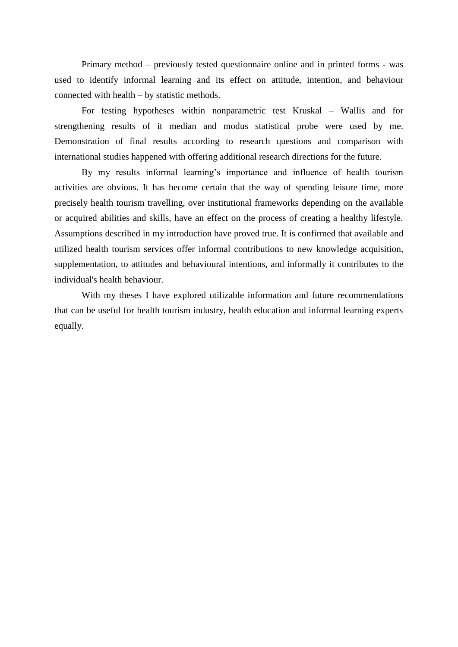Primary method – previously tested questionnaire online and in printed forms - was used to identify informal learning and its effect on attitude, intention, and behaviour connected with health – by statistic methods.

For testing hypotheses within nonparametric test Kruskal – Wallis and for strengthening results of it median and modus statistical probe were used by me. Demonstration of final results according to research questions and comparison with international studies happened with offering additional research directions for the future.

By my results informal learning's importance and influence of health tourism activities are obvious. It has become certain that the way of spending leisure time, more precisely health tourism travelling, over institutional frameworks depending on the available or acquired abilities and skills, have an effect on the process of creating a healthy lifestyle. Assumptions described in my introduction have proved true. It is confirmed that available and utilized health tourism services offer informal contributions to new knowledge acquisition, supplementation, to attitudes and behavioural intentions, and informally it contributes to the individual's health behaviour.

With my theses I have explored utilizable information and future recommendations that can be useful for health tourism industry, health education and informal learning experts equally.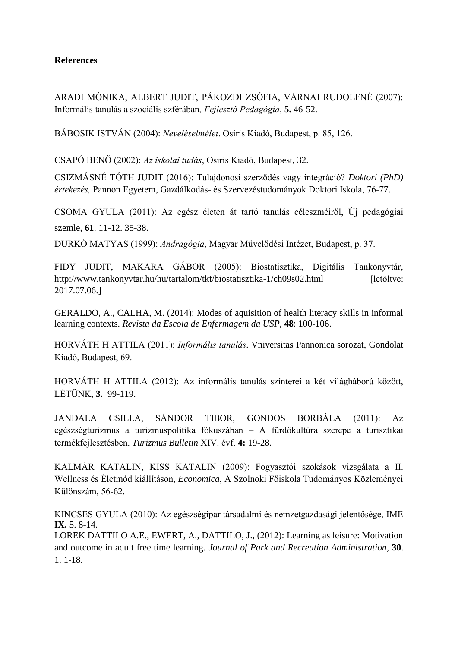# **References**

ARADI MÓNIKA, ALBERT JUDIT, PÁKOZDI ZSÓFIA, VÁRNAI RUDOLFNÉ (2007): Informális tanulás a szociális szférában*, Fejlesztő Pedagógia*, **5.** 46-52.

BÁBOSIK ISTVÁN (2004): *Neveléselmélet*. Osiris Kiadó, Budapest, p. 85, 126.

CSAPÓ BENŐ (2002): *Az iskolai tudás*, Osiris Kiadó, Budapest, 32.

CSIZMÁSNÉ TÓTH JUDIT (2016): Tulajdonosi szerződés vagy integráció? *Doktori (PhD) értekezés,* Pannon Egyetem, Gazdálkodás- és Szervezéstudományok Doktori Iskola, 76-77.

CSOMA GYULA (2011): Az egész életen át tartó tanulás céleszméiről, Új pedagógiai szemle, **61**. 11-12. 35-38.

DURKÓ MÁTYÁS (1999): *Andragógia*, Magyar Művelődési Intézet, Budapest, p. 37.

FIDY JUDIT, MAKARA GÁBOR (2005): Biostatisztika, Digitális Tankönyvtár, <http://www.tankonyvtar.hu/hu/tartalom/tkt/biostatisztika-1/ch09s02.html> [letöltve: 2017.07.06.]

GERALDO, A., CALHA, M. (2014): Modes of aquisition of health literacy skills in informal learning contexts. *Revista da Escola de Enfermagem da USP*, **48**: 100-106.

HORVÁTH H ATTILA (2011): *Informális tanulás*. Vniversitas Pannonica sorozat, Gondolat Kiadó, Budapest, 69.

HORVÁTH H ATTILA (2012): Az informális tanulás színterei a két világháború között, LÉTÜNK, **3.** 99-119.

JANDALA CSILLA, SÁNDOR TIBOR, GONDOS BORBÁLA (2011): Az egészségturizmus a turizmuspolitika fókuszában – A fürdőkultúra szerepe a turisztikai termékfejlesztésben. *Turizmus Bulletin* XIV. évf. **4:** 19-28.

KALMÁR KATALIN, KISS KATALIN (2009): Fogyasztói szokások vizsgálata a II. Wellness és Életmód kiállításon, *Economica*, A Szolnoki Főiskola Tudományos Közleményei Különszám, 56-62.

KINCSES GYULA (2010): Az egészségipar társadalmi és nemzetgazdasági jelentősége, IME **IX.** 5. 8-14.

LOREK DATTILO A.E., EWERT, A., DATTILO, J., (2012): Learning as leisure: Motivation and outcome in adult free time learning. *Journal of Park and Recreation Administration*, **30**. 1. 1-18.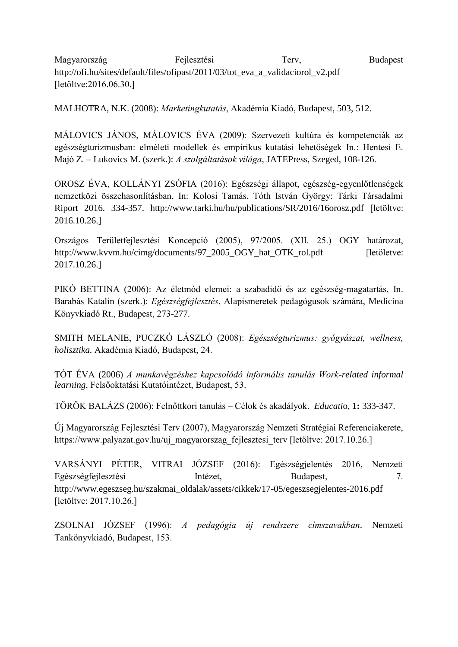Magyarország Fejlesztési Terv, Budapest [http://ofi.hu/sites/default/files/ofipast/2011/03/tot\\_eva\\_a\\_validaciorol\\_v2.pdf](http://ofi.hu/sites/default/files/ofipast/2011/03/tot_eva_a_validaciorol_v2.pdf) [letöltve:2016.06.30.]

MALHOTRA, N.K. (2008): *Marketingkutatás*, Akadémia Kiadó, Budapest, 503, 512.

MÁLOVICS JÁNOS, MÁLOVICS ÉVA (2009): Szervezeti kultúra és kompetenciák az egészségturizmusban: elméleti modellek és empirikus kutatási lehetőségek In.: Hentesi E. Majó Z. – Lukovics M. (szerk.): *A szolgáltatások világa*, JATEPress, Szeged, 108-126.

OROSZ ÉVA, KOLLÁNYI ZSÓFIA (2016): Egészségi állapot, egészség-egyenlőtlenségek nemzetközi összehasonlításban, In: Kolosi Tamás, Tóth István György: Tárki Társadalmi Riport 2016. 334-357. <http://www.tarki.hu/hu/publications/SR/2016/16orosz.pdf> [letöltve: 2016.10.26.]

Országos Területfejlesztési Koncepció (2005), 97/2005. (XII. 25.) OGY határozat, [http://www.kvvm.hu/cimg/documents/97\\_2005\\_OGY\\_hat\\_OTK\\_rol.pdf](http://www.kvvm.hu/cimg/documents/97_2005_OGY_hat_OTK_rol.pdf) [letöletve: 2017.10.26.]

PIKÓ BETTINA (2006): Az életmód elemei: a szabadidő és az egészség-magatartás, In. Barabás Katalin (szerk.): *Egészségfejlesztés*, Alapismeretek pedagógusok számára, Medicina Könyvkiadó Rt., Budapest, 273-277.

SMITH MELANIE, PUCZKÓ LÁSZLÓ (2008): *Egészségturizmus: gyógyászat, wellness, holisztika.* Akadémia Kiadó, Budapest, 24.

TÓT ÉVA (2006) *A munkavégzéshez kapcsolódó informális tanulás Work-related informal learning*. Felsőoktatási Kutatóintézet, Budapest, 53.

TÖRÖK BALÁZS (2006): Felnőttkori tanulás – Célok és akadályok. *Educati*o, **1:** 333-347.

Új Magyarország Fejlesztési Terv (2007), Magyarország Nemzeti Stratégiai Referenciakerete, https://www.palyazat.gov.hu/uj\_magyarorszag\_fejlesztesi\_terv [letöltve: 2017.10.26.]

VARSÁNYI PÉTER, VITRAI JÓZSEF (2016): Egészségjelentés 2016, Nemzeti Egészségfejlesztési Intézet, Budapest, 7. [http://www.egeszseg.hu/szakmai\\_oldalak/assets/cikkek/17-05/egeszsegjelentes-2016.pdf](http://www.egeszseg.hu/szakmai_oldalak/assets/cikkek/17-05/egeszsegjelentes-2016.pdf) [letöltve: 2017.10.26.]

ZSOLNAI JÓZSEF (1996): *A pedagógia új rendszere címszavakban*. Nemzeti Tankönyvkiadó, Budapest, 153.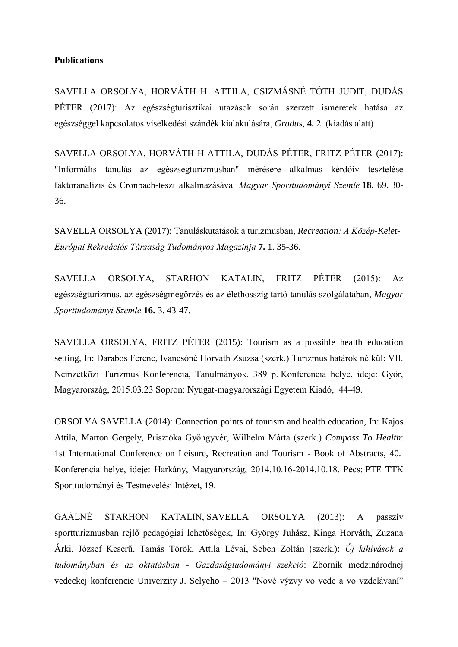## **Publications**

SAVELLA ORSOLYA, HORVÁTH H. ATTILA, CSIZMÁSNÉ TÓTH JUDIT, DUDÁS PÉTER (2017): Az egészségturisztikai utazások során szerzett ismeretek hatása az egészséggel kapcsolatos viselkedési szándék kialakulására, *Gradus*, **4.** 2. (kiadás alatt)

SAVELLA ORSOLYA, HORVÁTH H ATTILA, DUDÁS PÉTER, FRITZ PÉTER (2017): "Informális tanulás az egészségturizmusban" mérésére alkalmas kérdőív tesztelése faktoranalízis és Cronbach-teszt alkalmazásával *Magyar Sporttudományi Szemle* **18.** 69. 30- 36.

SAVELLA ORSOLYA (2017): Tanuláskutatások a turizmusban, *Recreation: A Közép-Kelet-Európai Rekreációs Társaság Tudományos Magazinja* **7.** 1. 35-36.

SAVELLA ORSOLYA, STARHON KATALIN, FRITZ PÉTER (2015): Az egészségturizmus, az egészségmegőrzés és az élethosszig tartó tanulás szolgálatában, *Magyar Sporttudományi Szemle* **16.** 3. 43-47.

SAVELLA ORSOLYA, FRITZ PÉTER (2015): Tourism as a possible health education setting, In: Darabos Ferenc, Ivancsóné Horváth Zsuzsa (szerk.) Turizmus határok nélkül: VII. Nemzetközi Turizmus Konferencia, Tanulmányok. 389 p. Konferencia helye, ideje: Győr, Magyarország, 2015.03.23 Sopron: Nyugat-magyarországi Egyetem Kiadó, 44-49.

ORSOLYA SAVELLA (2014): Connection points of tourism and health education, In: Kajos Attila, Marton Gergely, Prisztóka Gyöngyvér, Wilhelm Márta (szerk.) *Compass To Health*: 1st International Conference on Leisure, Recreation and Tourism - Book of Abstracts, 40. Konferencia helye, ideje: Harkány, Magyarország, 2014.10.16-2014.10.18. Pécs: PTE TTK Sporttudományi és Testnevelési Intézet, 19.

GAÁLNÉ STARHON KATALIN, SAVELLA ORSOLYA (2013): A passzív sportturizmusban rejlő pedagógiai lehetőségek, In: György Juhász, Kinga Horváth, Zuzana Árki, József Keserű, Tamás Török, Attila Lévai, Seben Zoltán (szerk.): *Új kihívások a tudományban és az oktatásban - Gazdaságtudományi szekció*: Zborník medzinárodnej vedeckej konferencie Univerzity J. Selyeho – 2013 "Nové výzvy vo vede a vo vzdelávaní"